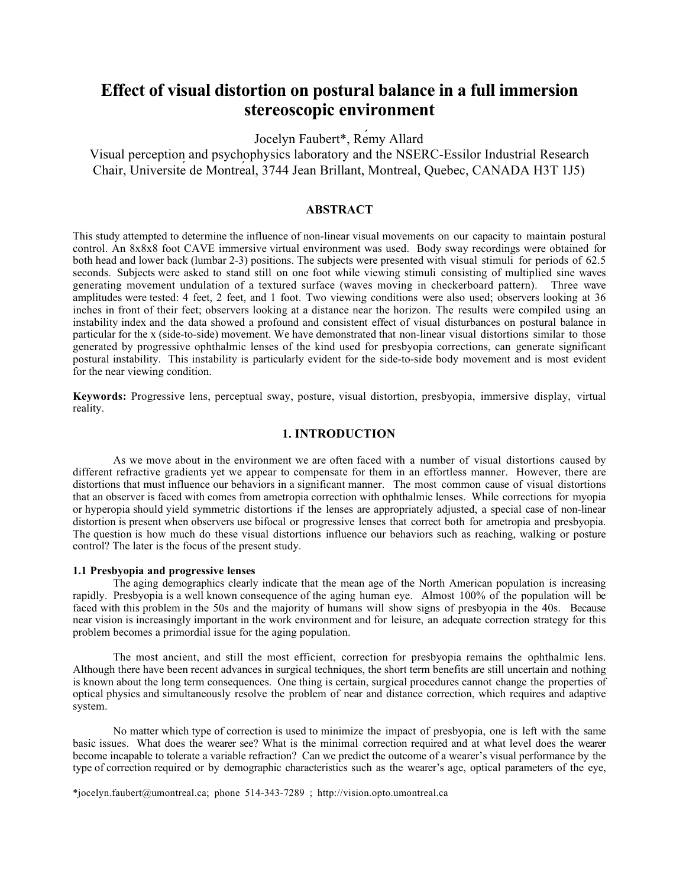# **Effect of visual distortion on postural balance in a full immersion stereoscopic environment**

Jocelyn Faubert\*, Rémy Allard

Visual perception and psychophysics laboratory and the NSERC-Essilor Industrial Research Chair, Université de Montréal, 3744 Jean Brillant, Montreal, Quebec, CANADA H3T 1J5)

# **ABSTRACT**

This study attempted to determine the influence of non-linear visual movements on our capacity to maintain postural control. An 8x8x8 foot CAVE immersive virtual environment was used. Body sway recordings were obtained for both head and lower back (lumbar 2-3) positions. The subjects were presented with visual stimuli for periods of 62.5 seconds. Subjects were asked to stand still on one foot while viewing stimuli consisting of multiplied sine waves generating movement undulation of a textured surface (waves moving in checkerboard pattern). Three wave amplitudes were tested: 4 feet, 2 feet, and 1 foot. Two viewing conditions were also used; observers looking at 36 inches in front of their feet; observers looking at a distance near the horizon. The results were compiled using an instability index and the data showed a profound and consistent effect of visual disturbances on postural balance in particular for the x (side-to-side) movement. We have demonstrated that non-linear visual distortions similar to those generated by progressive ophthalmic lenses of the kind used for presbyopia corrections, can generate significant postural instability. This instability is particularly evident for the side-to-side body movement and is most evident for the near viewing condition.

**Keywords:** Progressive lens, perceptual sway, posture, visual distortion, presbyopia, immersive display, virtual reality.

# **1. INTRODUCTION**

As we move about in the environment we are often faced with a number of visual distortions caused by different refractive gradients yet we appear to compensate for them in an effortless manner. However, there are distortions that must influence our behaviors in a significant manner. The most common cause of visual distortions that an observer is faced with comes from ametropia correction with ophthalmic lenses. While corrections for myopia or hyperopia should yield symmetric distortions if the lenses are appropriately adjusted, a special case of non-linear distortion is present when observers use bifocal or progressive lenses that correct both for ametropia and presbyopia. The question is how much do these visual distortions influence our behaviors such as reaching, walking or posture control? The later is the focus of the present study.

#### **1.1 Presbyopia and progressive lenses**

The aging demographics clearly indicate that the mean age of the North American population is increasing rapidly. Presbyopia is a well known consequence of the aging human eye. Almost 100% of the population will be faced with this problem in the 50s and the majority of humans will show signs of presbyopia in the 40s. Because near vision is increasingly important in the work environment and for leisure, an adequate correction strategy for this problem becomes a primordial issue for the aging population.

The most ancient, and still the most efficient, correction for presbyopia remains the ophthalmic lens. Although there have been recent advances in surgical techniques, the short term benefits are still uncertain and nothing is known about the long term consequences. One thing is certain, surgical procedures cannot change the properties of optical physics and simultaneously resolve the problem of near and distance correction, which requires and adaptive system.

No matter which type of correction is used to minimize the impact of presbyopia, one is left with the same basic issues. What does the wearer see? What is the minimal correction required and at what level does the wearer become incapable to tolerate a variable refraction? Can we predict the outcome of a wearer's visual performance by the type of correction required or by demographic characteristics such as the wearer's age, optical parameters of the eye,

\*jocelyn.faubert@umontreal.ca; phone 514-343-7289 ; http://vision.opto.umontreal.ca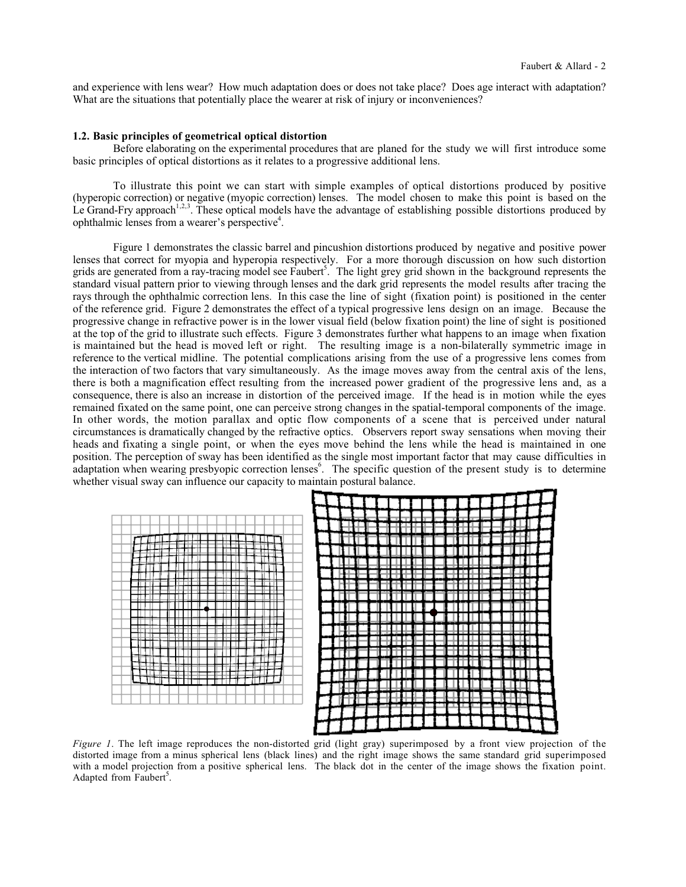and experience with lens wear? How much adaptation does or does not take place? Does age interact with adaptation? What are the situations that potentially place the wearer at risk of injury or inconveniences?

# **1.2. Basic principles of geometrical optical distortion**

Before elaborating on the experimental procedures that are planed for the study we will first introduce some basic principles of optical distortions as it relates to a progressive additional lens.

To illustrate this point we can start with simple examples of optical distortions produced by positive (hyperopic correction) or negative (myopic correction) lenses. The model chosen to make this point is based on the Le Grand-Fry approach<sup>1,2,3</sup>. These optical models have the advantage of establishing possible distortions produced by ophthalmic lenses from a wearer's perspective<sup>4</sup>.

Figure 1 demonstrates the classic barrel and pincushion distortions produced by negative and positive power lenses that correct for myopia and hyperopia respectively. For a more thorough discussion on how such distortion grids are generated from a ray-tracing model see Faubert<sup>5</sup>. The light grey grid shown in the background represents the standard visual pattern prior to viewing through lenses and the dark grid represents the model results after tracing the rays through the ophthalmic correction lens. In this case the line of sight (fixation point) is positioned in the center of the reference grid. Figure 2 demonstrates the effect of a typical progressive lens design on an image. Because the progressive change in refractive power is in the lower visual field (below fixation point) the line of sight is positioned at the top of the grid to illustrate such effects. Figure 3 demonstrates further what happens to an image when fixation is maintained but the head is moved left or right. The resulting image is a non-bilaterally symmetric image in reference to the vertical midline. The potential complications arising from the use of a progressive lens comes from the interaction of two factors that vary simultaneously. As the image moves away from the central axis of the lens, there is both a magnification effect resulting from the increased power gradient of the progressive lens and, as a consequence, there is also an increase in distortion of the perceived image. If the head is in motion while the eyes remained fixated on the same point, one can perceive strong changes in the spatial-temporal components of the image. In other words, the motion parallax and optic flow components of a scene that is perceived under natural circumstances is dramatically changed by the refractive optics. Observers report sway sensations when moving their heads and fixating a single point, or when the eyes move behind the lens while the head is maintained in one position. The perception of sway has been identified as the single most important factor that may cause difficulties in adaptation when wearing presbyopic correction lenses<sup>6</sup>. The specific question of the present study is to determine whether visual sway can influence our capacity to maintain postural balance.



*Figure 1*. The left image reproduces the non-distorted grid (light gray) superimposed by a front view projection of the distorted image from a minus spherical lens (black lines) and the right image shows the same standard grid superimposed with a model projection from a positive spherical lens. The black dot in the center of the image shows the fixation point. Adapted from Faubert<sup>5</sup>.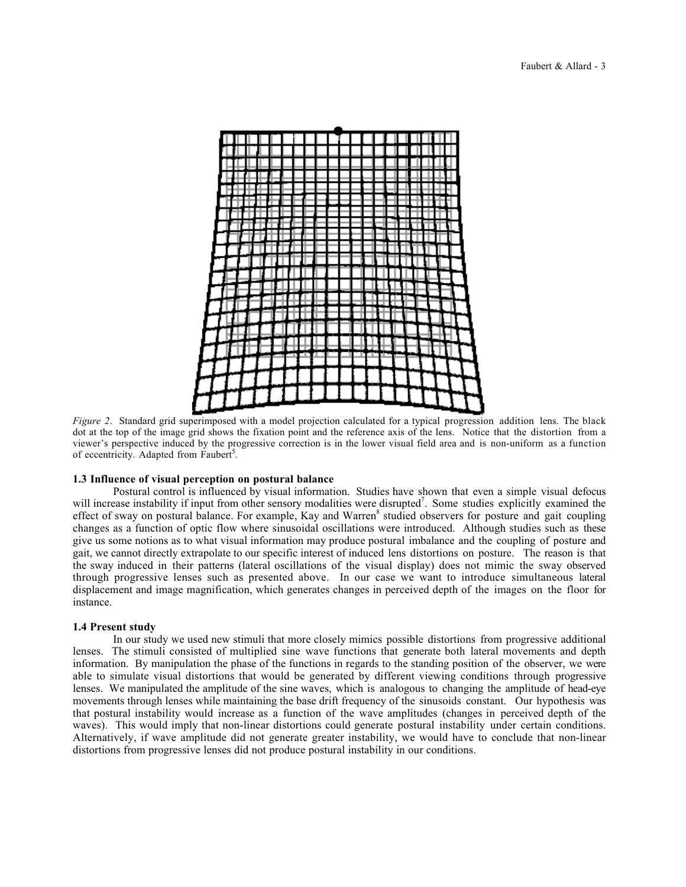

*Figure 2*. Standard grid superimposed with a model projection calculated for a typical progression addition lens. The black dot at the top of the image grid shows the fixation point and the reference axis of the lens. Notice that the distortion from a viewer's perspective induced by the progressive correction is in the lower visual field area and is non-uniform as a function of eccentricity. Adapted from Faubert<sup>5</sup>.

# **1.3 Influence of visual perception on postural balance**

Postural control is influenced by visual information. Studies have shown that even a simple visual defocus will increase instability if input from other sensory modalities were disrupted<sup>7</sup>. Some studies explicitly examined the effect of sway on postural balance. For example, Kay and Warren<sup>8</sup> studied observers for posture and gait coupling changes as a function of optic flow where sinusoidal oscillations were introduced. Although studies such as these give us some notions as to what visual information may produce postural imbalance and the coupling of posture and gait, we cannot directly extrapolate to our specific interest of induced lens distortions on posture. The reason is that the sway induced in their patterns (lateral oscillations of the visual display) does not mimic the sway observed through progressive lenses such as presented above. In our case we want to introduce simultaneous lateral displacement and image magnification, which generates changes in perceived depth of the images on the floor for instance.

# **1.4 Present study**

In our study we used new stimuli that more closely mimics possible distortions from progressive additional lenses. The stimuli consisted of multiplied sine wave functions that generate both lateral movements and depth information. By manipulation the phase of the functions in regards to the standing position of the observer, we were able to simulate visual distortions that would be generated by different viewing conditions through progressive lenses. We manipulated the amplitude of the sine waves, which is analogous to changing the amplitude of head-eye movements through lenses while maintaining the base drift frequency of the sinusoids constant. Our hypothesis was that postural instability would increase as a function of the wave amplitudes (changes in perceived depth of the waves). This would imply that non-linear distortions could generate postural instability under certain conditions. Alternatively, if wave amplitude did not generate greater instability, we would have to conclude that non-linear distortions from progressive lenses did not produce postural instability in our conditions.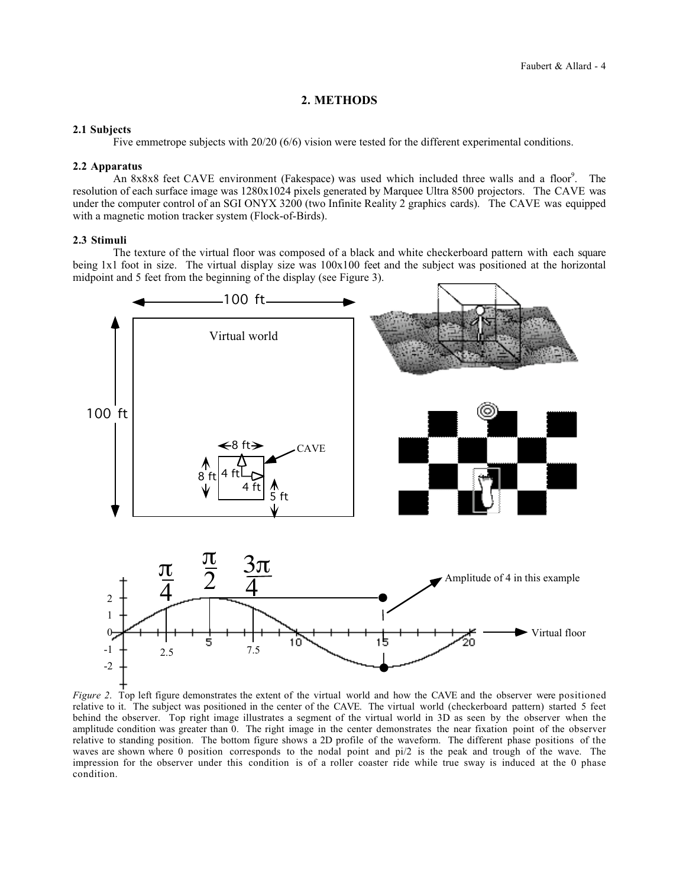# **2. METHODS**

## **2.1 Subjects**

Five emmetrope subjects with 20/20 (6/6) vision were tested for the different experimental conditions.

## **2.2 Apparatus**

An 8x8x8 feet CAVE environment (Fakespace) was used which included three walls and a floor<sup>9</sup>. The resolution of each surface image was 1280x1024 pixels generated by Marquee Ultra 8500 projectors. The CAVE was under the computer control of an SGI ONYX 3200 (two Infinite Reality 2 graphics cards). The CAVE was equipped with a magnetic motion tracker system (Flock-of-Birds).

## **2.3 Stimuli**

The texture of the virtual floor was composed of a black and white checkerboard pattern with each square being 1x1 foot in size. The virtual display size was 100x100 feet and the subject was positioned at the horizontal midpoint and 5 feet from the beginning of the display (see Figure 3).



*Figure 2*. Top left figure demonstrates the extent of the virtual world and how the CAVE and the observer were positioned relative to it. The subject was positioned in the center of the CAVE. The virtual world (checkerboard pattern) started 5 feet behind the observer. Top right image illustrates a segment of the virtual world in 3D as seen by the observer when the amplitude condition was greater than 0. The right image in the center demonstrates the near fixation point of the observer relative to standing position. The bottom figure shows a 2D profile of the waveform. The different phase positions of the waves are shown where 0 position corresponds to the nodal point and pi/2 is the peak and trough of the wave. The impression for the observer under this condition is of a roller coaster ride while true sway is induced at the 0 phase condition.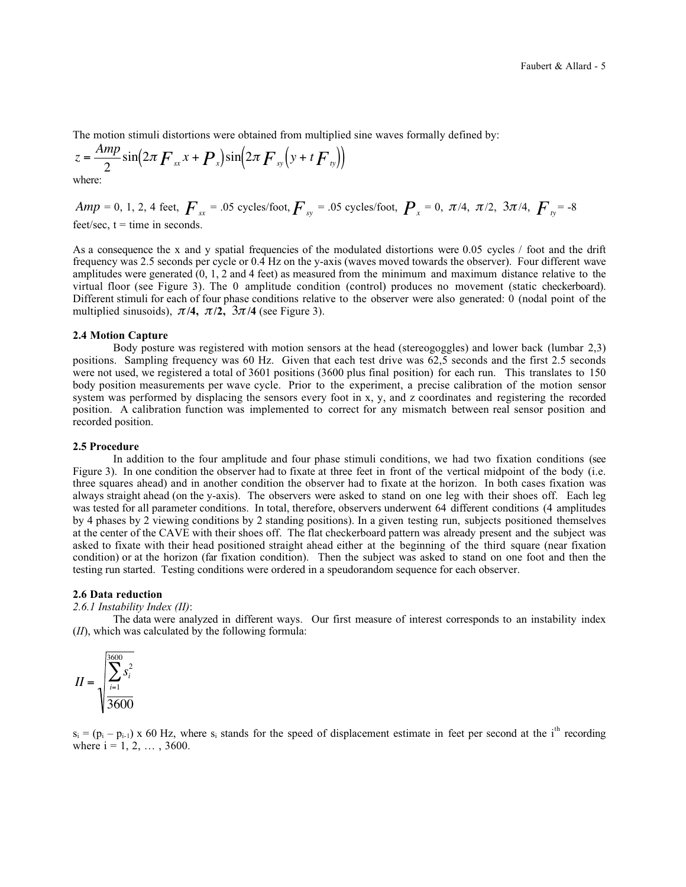The motion stimuli distortions were obtained from multiplied sine waves formally defined by:

$$
z = \frac{Amp}{2}\sin\left(2\pi F_{xx}x + P_{x}\right)\sin\left(2\pi F_{yy}\left(y + t\overline{F}_{ty}\right)\right)
$$

where:

 $Amp = 0, 1, 2, 4$  feet,  $F_{sx} = .05$  cycles/foot,  $F_{sx} = .05$  cycles/foot,  $P_{x} = 0, \pi/4, \pi/2, 3\pi/4, F_{sx} = -8$  $f$ eet/sec,  $t =$ time in seconds.

As a consequence the x and y spatial frequencies of the modulated distortions were 0.05 cycles / foot and the drift frequency was 2.5 seconds per cycle or 0.4 Hz on the y-axis (waves moved towards the observer). Four different wave amplitudes were generated (0, 1, 2 and 4 feet) as measured from the minimum and maximum distance relative to the virtual floor (see Figure 3). The 0 amplitude condition (control) produces no movement (static checkerboard). Different stimuli for each of four phase conditions relative to the observer were also generated: 0 (nodal point of the multiplied sinusoids),  $\pi/4$ ,  $\pi/2$ ,  $3\pi/4$  (see Figure 3).

#### **2.4 Motion Capture**

Body posture was registered with motion sensors at the head (stereogoggles) and lower back (lumbar 2,3) positions. Sampling frequency was 60 Hz. Given that each test drive was 62,5 seconds and the first 2.5 seconds were not used, we registered a total of 3601 positions (3600 plus final position) for each run. This translates to 150 body position measurements per wave cycle. Prior to the experiment, a precise calibration of the motion sensor system was performed by displacing the sensors every foot in x, y, and z coordinates and registering the recorded position. A calibration function was implemented to correct for any mismatch between real sensor position and recorded position.

#### **2.5 Procedure**

In addition to the four amplitude and four phase stimuli conditions, we had two fixation conditions (see Figure 3). In one condition the observer had to fixate at three feet in front of the vertical midpoint of the body (i.e. three squares ahead) and in another condition the observer had to fixate at the horizon. In both cases fixation was always straight ahead (on the y-axis). The observers were asked to stand on one leg with their shoes off. Each leg was tested for all parameter conditions. In total, therefore, observers underwent 64 different conditions (4 amplitudes by 4 phases by 2 viewing conditions by 2 standing positions). In a given testing run, subjects positioned themselves at the center of the CAVE with their shoes off. The flat checkerboard pattern was already present and the subject was asked to fixate with their head positioned straight ahead either at the beginning of the third square (near fixation condition) or at the horizon (far fixation condition). Then the subject was asked to stand on one foot and then the testing run started. Testing conditions were ordered in a speudorandom sequence for each observer.

#### **2.6 Data reduction**

#### *2.6.1 Instability Index (II)*:

The data were analyzed in different ways. Our first measure of interest corresponds to an instability index (*II*), which was calculated by the following formula:

$$
II = \sqrt{\sum_{i=1}^{3600} s_i^2}
$$

 $s_i = (p_i - p_{i-1})$  x 60 Hz, where  $s_i$  stands for the speed of displacement estimate in feet per second at the i<sup>th</sup> recording where  $i = 1, 2, \ldots, 3600$ .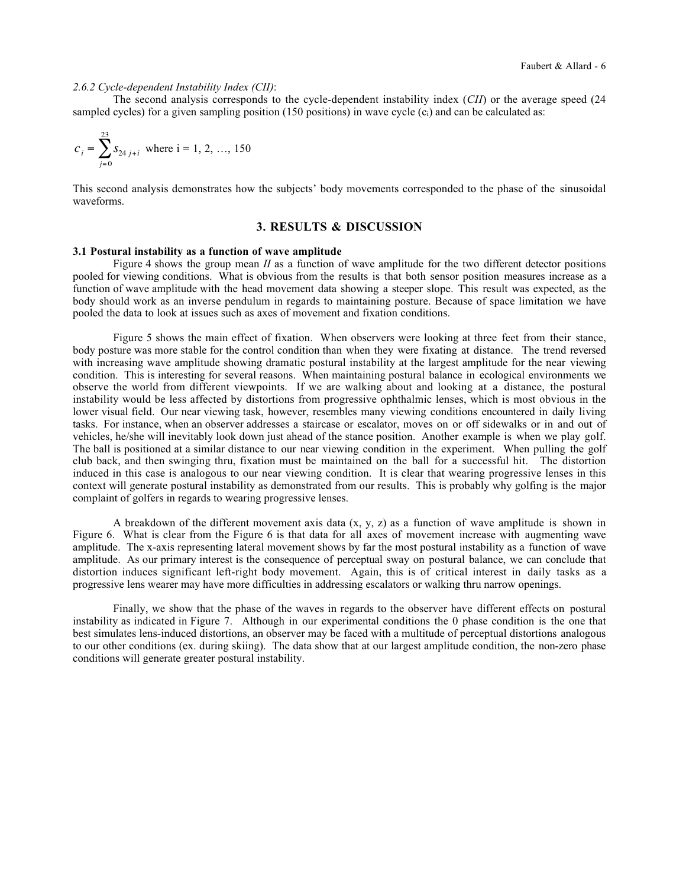## *2.6.2 Cycle-dependent Instability Index (CII)*:

The second analysis corresponds to the cycle-dependent instability index (*CII*) or the average speed (24 sampled cycles) for a given sampling position (150 positions) in wave cycle  $(c_i)$  and can be calculated as:

$$
c_i = \sum_{j=0}^{23} s_{24 \, j+i}
$$
 where  $i = 1, 2, ..., 150$ 

This second analysis demonstrates how the subjects' body movements corresponded to the phase of the sinusoidal waveforms.

# **3. RESULTS & DISCUSSION**

### **3.1 Postural instability as a function of wave amplitude**

Figure 4 shows the group mean *II* as a function of wave amplitude for the two different detector positions pooled for viewing conditions. What is obvious from the results is that both sensor position measures increase as a function of wave amplitude with the head movement data showing a steeper slope. This result was expected, as the body should work as an inverse pendulum in regards to maintaining posture. Because of space limitation we have pooled the data to look at issues such as axes of movement and fixation conditions.

Figure 5 shows the main effect of fixation. When observers were looking at three feet from their stance, body posture was more stable for the control condition than when they were fixating at distance. The trend reversed with increasing wave amplitude showing dramatic postural instability at the largest amplitude for the near viewing condition. This is interesting for several reasons. When maintaining postural balance in ecological environments we observe the world from different viewpoints. If we are walking about and looking at a distance, the postural instability would be less affected by distortions from progressive ophthalmic lenses, which is most obvious in the lower visual field. Our near viewing task, however, resembles many viewing conditions encountered in daily living tasks. For instance, when an observer addresses a staircase or escalator, moves on or off sidewalks or in and out of vehicles, he/she will inevitably look down just ahead of the stance position. Another example is when we play golf. The ball is positioned at a similar distance to our near viewing condition in the experiment. When pulling the golf club back, and then swinging thru, fixation must be maintained on the ball for a successful hit. The distortion induced in this case is analogous to our near viewing condition. It is clear that wearing progressive lenses in this context will generate postural instability as demonstrated from our results. This is probably why golfing is the major complaint of golfers in regards to wearing progressive lenses.

A breakdown of the different movement axis data  $(x, y, z)$  as a function of wave amplitude is shown in Figure 6. What is clear from the Figure 6 is that data for all axes of movement increase with augmenting wave amplitude. The x-axis representing lateral movement shows by far the most postural instability as a function of wave amplitude. As our primary interest is the consequence of perceptual sway on postural balance, we can conclude that distortion induces significant left-right body movement. Again, this is of critical interest in daily tasks as a progressive lens wearer may have more difficulties in addressing escalators or walking thru narrow openings.

Finally, we show that the phase of the waves in regards to the observer have different effects on postural instability as indicated in Figure 7. Although in our experimental conditions the 0 phase condition is the one that best simulates lens-induced distortions, an observer may be faced with a multitude of perceptual distortions analogous to our other conditions (ex. during skiing). The data show that at our largest amplitude condition, the non-zero phase conditions will generate greater postural instability.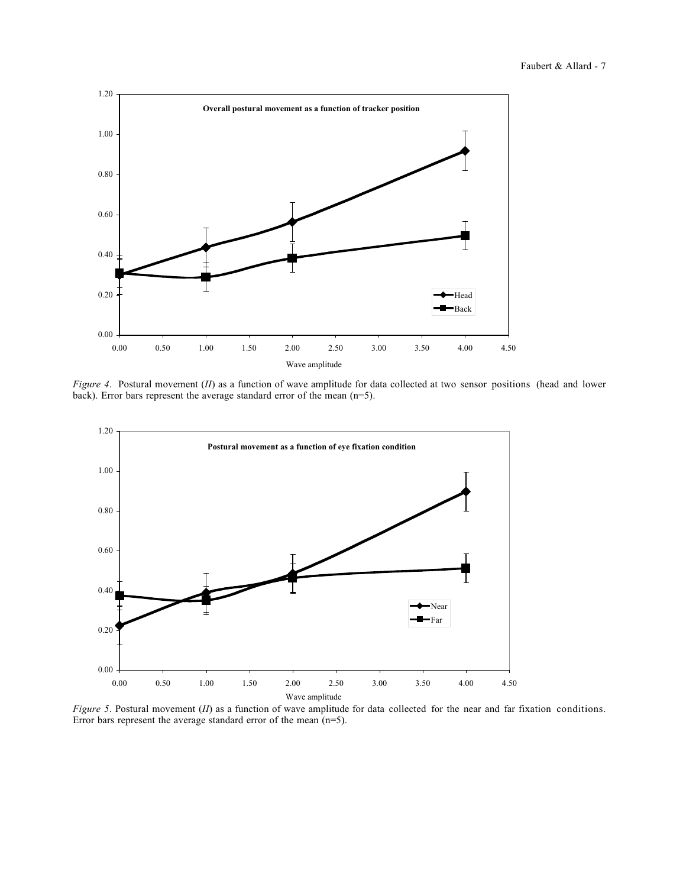

*Figure 4*. Postural movement (*II*) as a function of wave amplitude for data collected at two sensor positions (head and lower back). Error bars represent the average standard error of the mean (n=5).



*Figure 5*. Postural movement (*II*) as a function of wave amplitude for data collected for the near and far fixation conditions. Error bars represent the average standard error of the mean (n=5).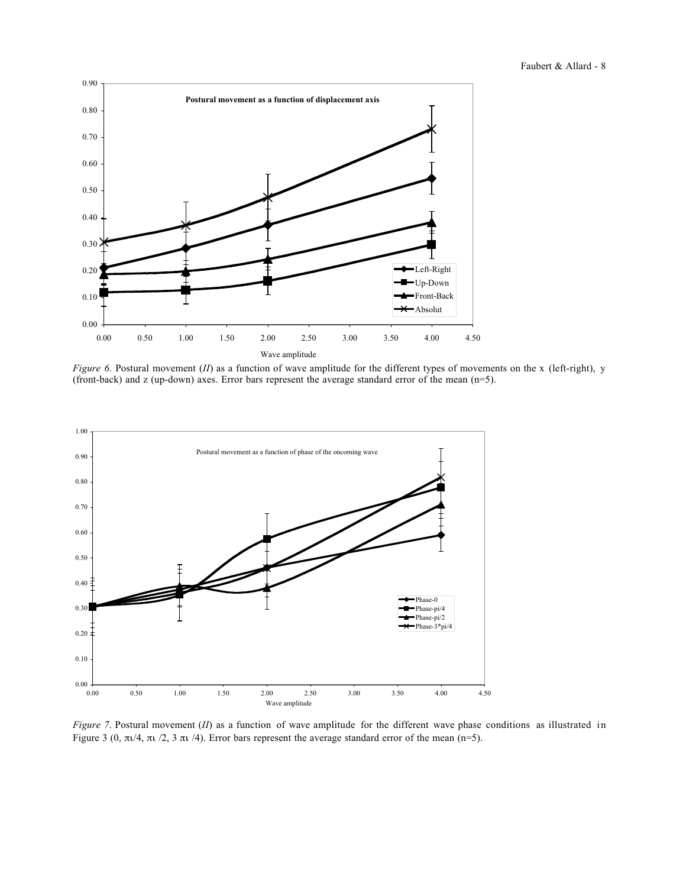

*Figure 6*. Postural movement (*II*) as a function of wave amplitude for the different types of movements on the x (left-right), y (front-back) and z (up-down) axes. Error bars represent the average standard error of the mean (n=5).



*Figure 7*. Postural movement (*II*) as a function of wave amplitude for the different wave phase conditions as illustrated in Figure 3 (0, πι/4, πι /2, 3 πι /4). Error bars represent the average standard error of the mean (n=5).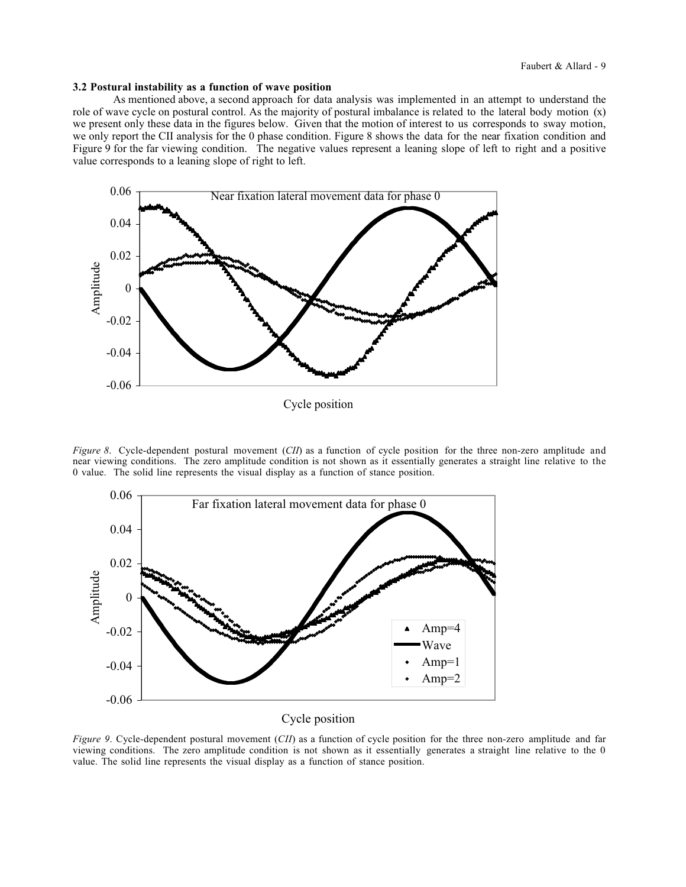#### **3.2 Postural instability as a function of wave position**

As mentioned above, a second approach for data analysis was implemented in an attempt to understand the role of wave cycle on postural control. As the majority of postural imbalance is related to the lateral body motion (x) we present only these data in the figures below. Given that the motion of interest to us corresponds to sway motion, we only report the CII analysis for the 0 phase condition. Figure 8 shows the data for the near fixation condition and Figure 9 for the far viewing condition. The negative values represent a leaning slope of left to right and a positive value corresponds to a leaning slope of right to left.



*Figure 8*. Cycle-dependent postural movement (*CII*) as a function of cycle position for the three non-zero amplitude and near viewing conditions. The zero amplitude condition is not shown as it essentially generates a straight line relative to the 0 value. The solid line represents the visual display as a function of stance position.



Cycle position

*Figure 9*. Cycle-dependent postural movement (*CII*) as a function of cycle position for the three non-zero amplitude and far viewing conditions. The zero amplitude condition is not shown as it essentially generates a straight line relative to the 0 value. The solid line represents the visual display as a function of stance position.